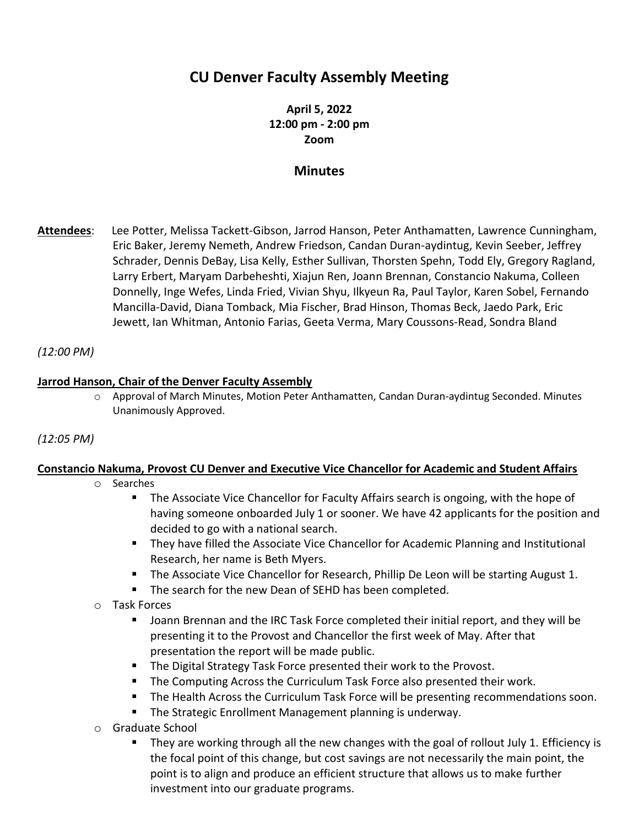# **CU Denver Faculty Assembly Meeting**

## **April 5, 2022 12:00 pm - 2:00 pm Zoom**

## **Minutes**

**Attendees**: Lee Potter, Melissa Tackett-Gibson, Jarrod Hanson, Peter Anthamatten, Lawrence Cunningham, Eric Baker, Jeremy Nemeth, Andrew Friedson, Candan Duran-aydintug, Kevin Seeber, Jeffrey Schrader, Dennis DeBay, Lisa Kelly, Esther Sullivan, Thorsten Spehn, Todd Ely, Gregory Ragland, Larry Erbert, Maryam Darbeheshti, Xiajun Ren, Joann Brennan, Constancio Nakuma, Colleen Donnelly, Inge Wefes, Linda Fried, Vivian Shyu, Ilkyeun Ra, Paul Taylor, Karen Sobel, Fernando Mancilla-David, Diana Tomback, Mia Fischer, Brad Hinson, Thomas Beck, Jaedo Park, Eric Jewett, Ian Whitman, Antonio Farias, Geeta Verma, Mary Coussons-Read, Sondra Bland

#### *(12:00 PM)*

#### **Jarrod Hanson, Chair of the Denver Faculty Assembly**

o Approval of March Minutes, Motion Peter Anthamatten, Candan Duran-aydintug Seconded. Minutes Unanimously Approved.

#### *(12:05 PM)*

#### **Constancio Nakuma, Provost CU Denver and Executive Vice Chancellor for Academic and Student Affairs**

- o Searches
	- The Associate Vice Chancellor for Faculty Affairs search is ongoing, with the hope of having someone onboarded July 1 or sooner. We have 42 applicants for the position and decided to go with a national search.
	- They have filled the Associate Vice Chancellor for Academic Planning and Institutional Research, her name is Beth Myers.
	- **The Associate Vice Chancellor for Research, Phillip De Leon will be starting August 1.**
	- The search for the new Dean of SEHD has been completed*.*
- o Task Forces
	- Joann Brennan and the IRC Task Force completed their initial report, and they will be presenting it to the Provost and Chancellor the first week of May. After that presentation the report will be made public.
	- The Digital Strategy Task Force presented their work to the Provost.
	- **•** The Computing Across the Curriculum Task Force also presented their work.
	- The Health Across the Curriculum Task Force will be presenting recommendations soon.
	- The Strategic Enrollment Management planning is underway.
- o Graduate School
	- They are working through all the new changes with the goal of rollout July 1. Efficiency is the focal point of this change, but cost savings are not necessarily the main point, the point is to align and produce an efficient structure that allows us to make further investment into our graduate programs.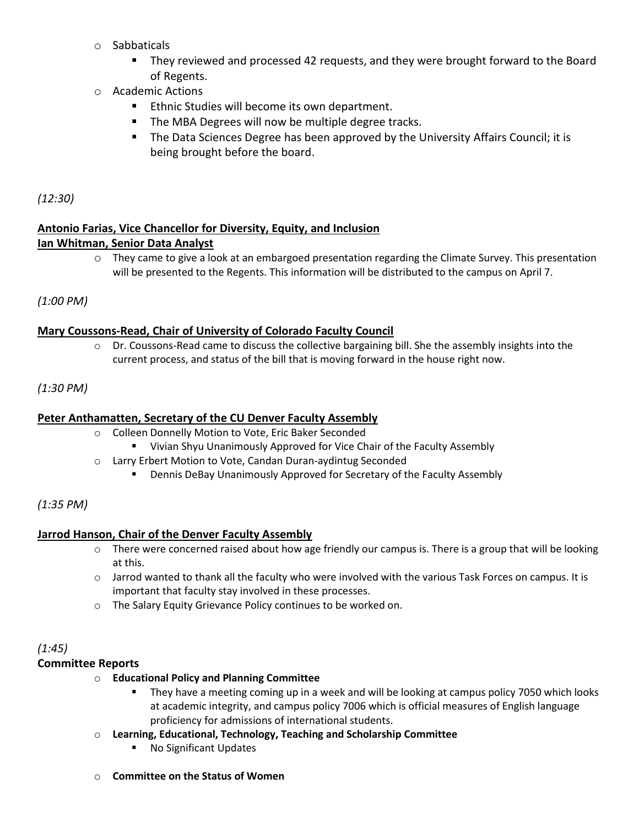- o Sabbaticals
	- They reviewed and processed 42 requests, and they were brought forward to the Board of Regents.
- o Academic Actions
	- Ethnic Studies will become its own department.
	- The MBA Degrees will now be multiple degree tracks.
	- The Data Sciences Degree has been approved by the University Affairs Council; it is being brought before the board.

*(12:30)*

#### **Antonio Farias, Vice Chancellor for Diversity, Equity, and Inclusion Ian Whitman, Senior Data Analyst**

 $\circ$  They came to give a look at an embargoed presentation regarding the Climate Survey. This presentation will be presented to the Regents. This information will be distributed to the campus on April 7.

*(1:00 PM)*

#### **Mary Coussons-Read, Chair of University of Colorado Faculty Council**

 $\circ$  Dr. Coussons-Read came to discuss the collective bargaining bill. She the assembly insights into the current process, and status of the bill that is moving forward in the house right now.

#### *(1:30 PM)*

#### **Peter Anthamatten, Secretary of the CU Denver Faculty Assembly**

- o Colleen Donnelly Motion to Vote, Eric Baker Seconded
	- Vivian Shyu Unanimously Approved for Vice Chair of the Faculty Assembly
- o Larry Erbert Motion to Vote, Candan Duran-aydintug Seconded
	- **E** Dennis DeBay Unanimously Approved for Secretary of the Faculty Assembly

#### *(1:35 PM)*

#### **Jarrod Hanson, Chair of the Denver Faculty Assembly**

- $\circ$  There were concerned raised about how age friendly our campus is. There is a group that will be looking at this.
- o Jarrod wanted to thank all the faculty who were involved with the various Task Forces on campus. It is important that faculty stay involved in these processes.
- o The Salary Equity Grievance Policy continues to be worked on.

## *(1:45)*

#### **Committee Reports**

- o **Educational Policy and Planning Committee**
	- They have a meeting coming up in a week and will be looking at campus policy 7050 which looks at academic integrity, and campus policy 7006 which is official measures of English language proficiency for admissions of international students.
- o **Learning, Educational, Technology, Teaching and Scholarship Committee**
	- No Significant Updates
- o **Committee on the Status of Women**